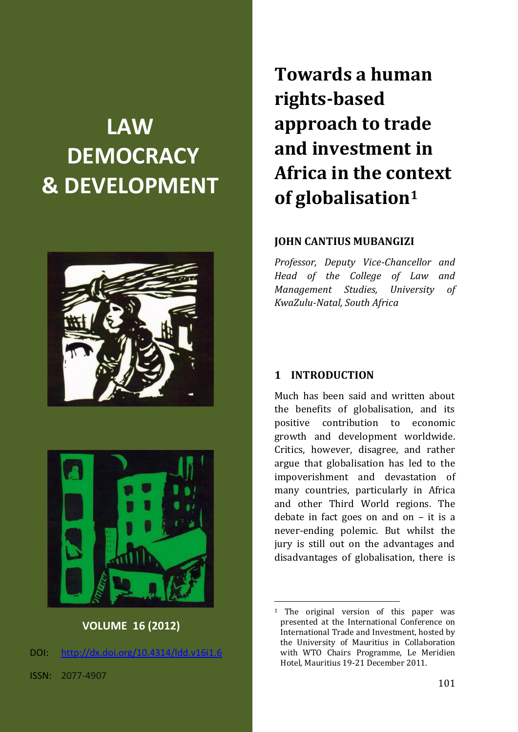# **LAW DEMOCRACY & DEVELOPMENT**





## **VOLUME 16 (2012)**

 $DOL:$  http://dx.doi.org/10.4314/ldd.v1i

ISSN: 2077-4907

**Towards a human rights-based approach to trade and investment in Africa in the context of globalisation<sup>1</sup>**

### **JOHN CANTIUS MUBANGIZI**

*Professor, Deputy Vice-Chancellor and Head of the College of Law and Management Studies, University of KwaZulu-Natal, South Africa*

### **1 INTRODUCTION**

1

Much has been said and written about the benefits of globalisation, and its positive contribution to economic growth and development worldwide. Critics, however, disagree, and rather argue that globalisation has led to the impoverishment and devastation of many countries, particularly in Africa and other Third World regions. The debate in fact goes on and on – it is a never-ending polemic. But whilst the jury is still out on the advantages and disadvantages of globalisation, there is

<sup>1</sup> The original version of this paper was presented at the International Conference on International Trade and Investment, hosted by the University of Mauritius in Collaboration with WTO Chairs Programme, Le Meridien Hotel, Mauritius 19-21 December 2011.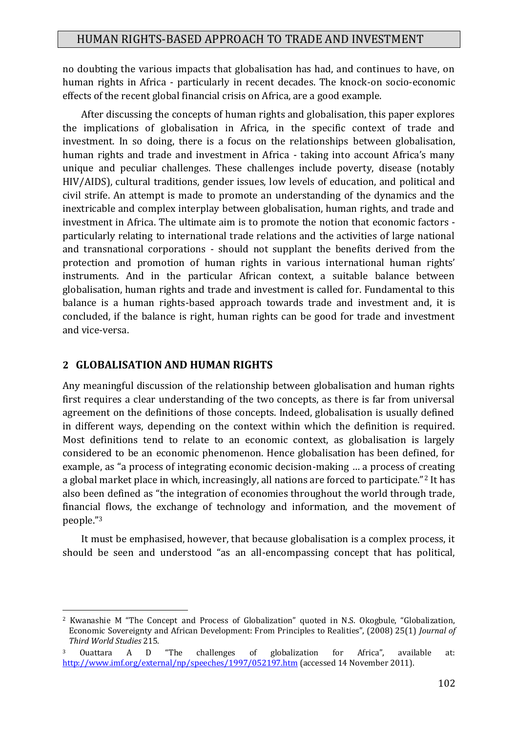no doubting the various impacts that globalisation has had, and continues to have, on human rights in Africa - particularly in recent decades. The knock-on socio-economic effects of the recent global financial crisis on Africa, are a good example.

After discussing the concepts of human rights and globalisation, this paper explores the implications of globalisation in Africa, in the specific context of trade and investment. In so doing, there is a focus on the relationships between globalisation, human rights and trade and investment in Africa - taking into account Africa's many unique and peculiar challenges. These challenges include poverty, disease (notably HIV/AIDS), cultural traditions, gender issues, low levels of education, and political and civil strife. An attempt is made to promote an understanding of the dynamics and the inextricable and complex interplay between globalisation, human rights, and trade and investment in Africa. The ultimate aim is to promote the notion that economic factors particularly relating to international trade relations and the activities of large national and transnational corporations - should not supplant the benefits derived from the protection and promotion of human rights in various international human rights' instruments. And in the particular African context, a suitable balance between globalisation, human rights and trade and investment is called for. Fundamental to this balance is a human rights-based approach towards trade and investment and, it is concluded, if the balance is right, human rights can be good for trade and investment and vice-versa.

#### **2 GLOBALISATION AND HUMAN RIGHTS**

1

Any meaningful discussion of the relationship between globalisation and human rights first requires a clear understanding of the two concepts, as there is far from universal agreement on the definitions of those concepts. Indeed, globalisation is usually defined in different ways, depending on the context within which the definition is required. Most definitions tend to relate to an economic context, as globalisation is largely considered to be an economic phenomenon. Hence globalisation has been defined, for example, as "a process of integrating economic decision-making … a process of creating a global market place in which, increasingly, all nations are forced to participate."<sup>2</sup> It has also been defined as "the integration of economies throughout the world through trade, financial flows, the exchange of technology and information, and the movement of people."<sup>3</sup>

It must be emphasised, however, that because globalisation is a complex process, it should be seen and understood "as an all-encompassing concept that has political,

<sup>2</sup> Kwanashie M "The Concept and Process of Globalization" quoted in N.S. Okogbule, "Globalization, Economic Sovereignty and African Development: From Principles to Realities", (2008) 25(1) *Journal of Third World Studies* 215*.* 

<sup>3</sup> Ouattara A D "The challenges of globalization for Africa", available at: <http://www.imf.org/external/np/speeches/1997/052197.htm> (accessed 14 November 2011).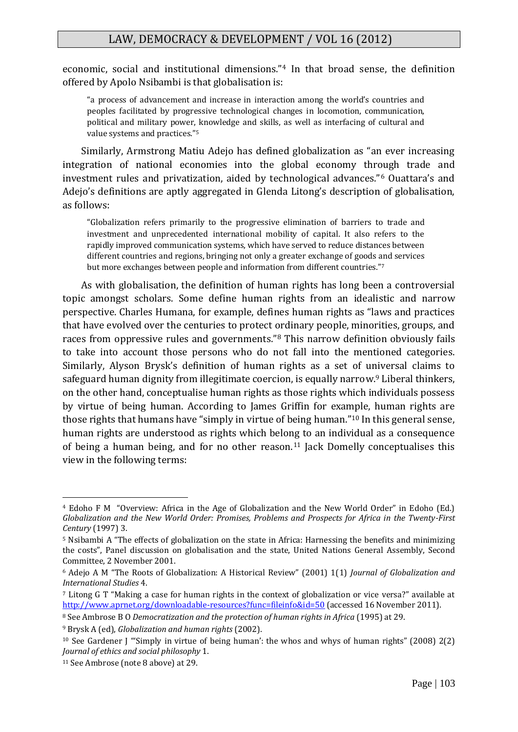economic, social and institutional dimensions."<sup>4</sup> In that broad sense, the definition offered by Apolo Nsibambi is that globalisation is:

"a process of advancement and increase in interaction among the world's countries and peoples facilitated by progressive technological changes in locomotion, communication, political and military power, knowledge and skills, as well as interfacing of cultural and value systems and practices."<sup>5</sup>

Similarly, Armstrong Matiu Adejo has defined globalization as "an ever increasing integration of national economies into the global economy through trade and investment rules and privatization, aided by technological advances."<sup>6</sup> Ouattara's and Adejo's definitions are aptly aggregated in Glenda Litong's description of globalisation, as follows:

"Globalization refers primarily to the progressive elimination of barriers to trade and investment and unprecedented international mobility of capital. It also refers to the rapidly improved communication systems, which have served to reduce distances between different countries and regions, bringing not only a greater exchange of goods and services but more exchanges between people and information from different countries."<sup>7</sup>

As with globalisation, the definition of human rights has long been a controversial topic amongst scholars. Some define human rights from an idealistic and narrow perspective. Charles Humana, for example, defines human rights as "laws and practices that have evolved over the centuries to protect ordinary people, minorities, groups, and races from oppressive rules and governments."<sup>8</sup> This narrow definition obviously fails to take into account those persons who do not fall into the mentioned categories. Similarly, Alyson Brysk's definition of human rights as a set of universal claims to safeguard human dignity from illegitimate coercion, is equally narrow.<sup>9</sup> Liberal thinkers, on the other hand, conceptualise human rights as those rights which individuals possess by virtue of being human. According to James Griffin for example, human rights are those rights that humans have "simply in virtue of being human." <sup>10</sup> In this general sense, human rights are understood as rights which belong to an individual as a consequence of being a human being, and for no other reason.<sup>11</sup> Jack Domelly conceptualises this view in the following terms:

<sup>4</sup> Edoho F M "Overview: Africa in the Age of Globalization and the New World Order" in Edoho (Ed.) *Globalization and the New World Order: Promises, Problems and Prospects for Africa in the Twenty-First Century* (1997) 3.

<sup>5</sup> Nsibambi A "The effects of globalization on the state in Africa: Harnessing the benefits and minimizing the costs", Panel discussion on globalisation and the state, United Nations General Assembly, Second Committee, 2 November 2001.

<sup>6</sup> Adejo A M "The Roots of Globalization: A Historical Review" (2001) 1(1) *Journal of Globalization and International Studies* 4.

<sup>7</sup> Litong G T "Making a case for human rights in the context of globalization or vice versa?" available at <http://www.aprnet.org/downloadable-resources?func=fileinfo&id=50> (accessed 16 November 2011).

<sup>8</sup> See Ambrose B O *Democratization and the protection of human rights in Africa* (1995) at 29.

<sup>9</sup> Brysk A (ed), *Globalization and human rights* (2002).

<sup>10</sup> See Gardener J "'Simply in virtue of being human': the whos and whys of human rights" (2008) 2(2) *Journal of ethics and social philosophy* 1.

<sup>11</sup> See Ambrose (note 8 above) at 29.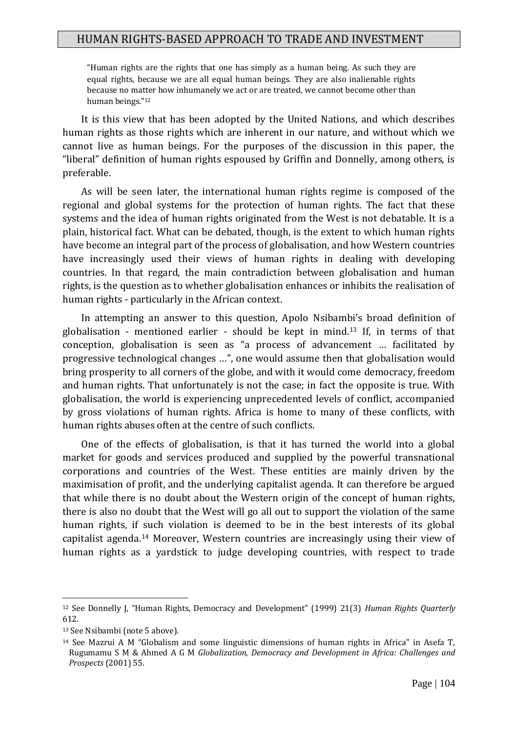"Human rights are the rights that one has simply as a human being. As such they are equal rights, because we are all equal human beings. They are also inalienable rights because no matter how inhumanely we act or are treated, we cannot become other than human beings."<sup>12</sup>

It is this view that has been adopted by the United Nations, and which describes human rights as those rights which are inherent in our nature, and without which we cannot live as human beings. For the purposes of the discussion in this paper, the "liberal" definition of human rights espoused by Griffin and Donnelly, among others, is preferable.

As will be seen later, the international human rights regime is composed of the regional and global systems for the protection of human rights. The fact that these systems and the idea of human rights originated from the West is not debatable. It is a plain, historical fact. What can be debated, though, is the extent to which human rights have become an integral part of the process of globalisation, and how Western countries have increasingly used their views of human rights in dealing with developing countries. In that regard, the main contradiction between globalisation and human rights, is the question as to whether globalisation enhances or inhibits the realisation of human rights - particularly in the African context.

In attempting an answer to this question, Apolo Nsibambi's broad definition of globalisation - mentioned earlier - should be kept in mind.<sup>13</sup> If, in terms of that conception, globalisation is seen as "a process of advancement … facilitated by progressive technological changes …", one would assume then that globalisation would bring prosperity to all corners of the globe, and with it would come democracy, freedom and human rights. That unfortunately is not the case; in fact the opposite is true. With globalisation, the world is experiencing unprecedented levels of conflict, accompanied by gross violations of human rights. Africa is home to many of these conflicts, with human rights abuses often at the centre of such conflicts.

One of the effects of globalisation, is that it has turned the world into a global market for goods and services produced and supplied by the powerful transnational corporations and countries of the West. These entities are mainly driven by the maximisation of profit, and the underlying capitalist agenda. It can therefore be argued that while there is no doubt about the Western origin of the concept of human rights, there is also no doubt that the West will go all out to support the violation of the same human rights, if such violation is deemed to be in the best interests of its global capitalist agenda.<sup>14</sup> Moreover, Western countries are increasingly using their view of human rights as a yardstick to judge developing countries, with respect to trade

<sup>12</sup> See Donnelly J, "Human Rights, Democracy and Development" (1999) 21(3) *Human Rights Quarterly* 612.

<sup>13</sup> See Nsibambi (note 5 above).

<sup>14</sup> See Mazrui A M "Globalism and some linguistic dimensions of human rights in Africa" in Asefa T, Rugumamu S M & Ahmed A G M *Globalization, Democracy and Development in Africa: Challenges and Prospects* (2001) 55.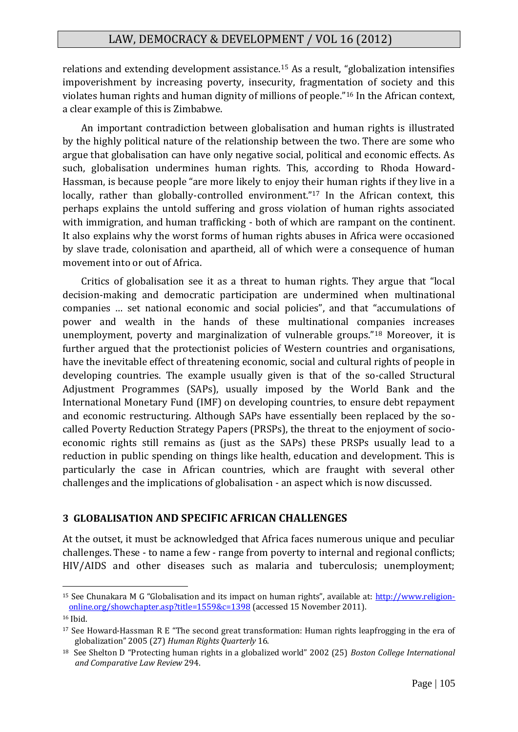relations and extending development assistance.<sup>15</sup> As a result, "globalization intensifies impoverishment by increasing poverty, insecurity, fragmentation of society and this violates human rights and human dignity of millions of people."<sup>16</sup> In the African context, a clear example of this is Zimbabwe.

An important contradiction between globalisation and human rights is illustrated by the highly political nature of the relationship between the two. There are some who argue that globalisation can have only negative social, political and economic effects. As such, globalisation undermines human rights. This, according to Rhoda Howard-Hassman, is because people "are more likely to enjoy their human rights if they live in a locally, rather than globally-controlled environment."<sup>17</sup> In the African context, this perhaps explains the untold suffering and gross violation of human rights associated with immigration, and human trafficking - both of which are rampant on the continent. It also explains why the worst forms of human rights abuses in Africa were occasioned by slave trade, colonisation and apartheid, all of which were a consequence of human movement into or out of Africa.

Critics of globalisation see it as a threat to human rights. They argue that "local decision-making and democratic participation are undermined when multinational companies … set national economic and social policies", and that "accumulations of power and wealth in the hands of these multinational companies increases unemployment, poverty and marginalization of vulnerable groups."<sup>18</sup> Moreover, it is further argued that the protectionist policies of Western countries and organisations, have the inevitable effect of threatening economic, social and cultural rights of people in developing countries. The example usually given is that of the so-called Structural Adjustment Programmes (SAPs), usually imposed by the World Bank and the International Monetary Fund (IMF) on developing countries, to ensure debt repayment and economic restructuring. Although SAPs have essentially been replaced by the socalled Poverty Reduction Strategy Papers (PRSPs), the threat to the enjoyment of socioeconomic rights still remains as (just as the SAPs) these PRSPs usually lead to a reduction in public spending on things like health, education and development. This is particularly the case in African countries, which are fraught with several other challenges and the implications of globalisation - an aspect which is now discussed.

### **3 GLOBALISATION AND SPECIFIC AFRICAN CHALLENGES**

At the outset, it must be acknowledged that Africa faces numerous unique and peculiar challenges. These - to name a few - range from poverty to internal and regional conflicts; HIV/AIDS and other diseases such as malaria and tuberculosis; unemployment;

<sup>15</sup> See Chunakara M G "Globalisation and its impact on human rights", available at: [http://www.religion](http://www.religion-online.org/showchapter.asp?title=1559&c=1398)[online.org/showchapter.asp?title=1559&c=1398](http://www.religion-online.org/showchapter.asp?title=1559&c=1398) (accessed 15 November 2011).

<sup>16</sup> Ibid.

 $17$  See Howard-Hassman R E "The second great transformation: Human rights leapfrogging in the era of globalization" 2005 (27) *Human Rights Quarterly* 16.

<sup>18</sup> See Shelton D "Protecting human rights in a globalized world" 2002 (25) *Boston College International and Comparative Law Review* 294.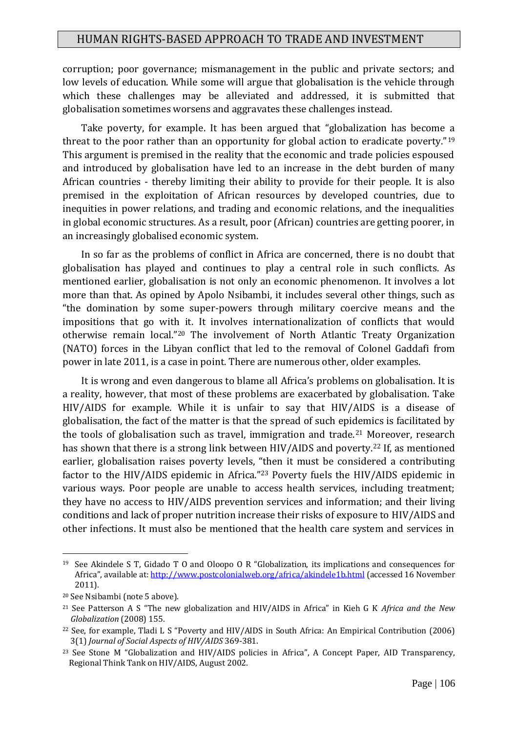corruption; poor governance; mismanagement in the public and private sectors; and low levels of education. While some will argue that globalisation is the vehicle through which these challenges may be alleviated and addressed, it is submitted that globalisation sometimes worsens and aggravates these challenges instead.

Take poverty, for example. It has been argued that "globalization has become a threat to the poor rather than an opportunity for global action to eradicate poverty."<sup>19</sup> This argument is premised in the reality that the economic and trade policies espoused and introduced by globalisation have led to an increase in the debt burden of many African countries - thereby limiting their ability to provide for their people. It is also premised in the exploitation of African resources by developed countries, due to inequities in power relations, and trading and economic relations, and the inequalities in global economic structures. As a result, poor (African) countries are getting poorer, in an increasingly globalised economic system.

In so far as the problems of conflict in Africa are concerned, there is no doubt that globalisation has played and continues to play a central role in such conflicts. As mentioned earlier, globalisation is not only an economic phenomenon. It involves a lot more than that. As opined by Apolo Nsibambi, it includes several other things, such as "the domination by some super-powers through military coercive means and the impositions that go with it. It involves internationalization of conflicts that would otherwise remain local."<sup>20</sup> The involvement of North Atlantic Treaty Organization (NATO) forces in the Libyan conflict that led to the removal of Colonel Gaddafi from power in late 2011, is a case in point. There are numerous other, older examples.

It is wrong and even dangerous to blame all Africa's problems on globalisation. It is a reality, however, that most of these problems are exacerbated by globalisation. Take HIV/AIDS for example. While it is unfair to say that HIV/AIDS is a disease of globalisation, the fact of the matter is that the spread of such epidemics is facilitated by the tools of globalisation such as travel, immigration and trade.<sup>21</sup> Moreover, research has shown that there is a strong link between HIV/AIDS and poverty.<sup>22</sup> If, as mentioned earlier, globalisation raises poverty levels, "then it must be considered a contributing factor to the HIV/AIDS epidemic in Africa."<sup>23</sup> Poverty fuels the HIV/AIDS epidemic in various ways. Poor people are unable to access health services, including treatment; they have no access to HIV/AIDS prevention services and information; and their living conditions and lack of proper nutrition increase their risks of exposure to HIV/AIDS and other infections. It must also be mentioned that the health care system and services in

<sup>19</sup> See Akindele S T, Gidado T O and Oloopo O R "Globalization, its implications and consequences for Africa", available at: <http://www.postcolonialweb.org/africa/akindele1b.html> (accessed 16 November 2011).

<sup>20</sup> See Nsibambi (note 5 above).

<sup>21</sup> See Patterson A S "The new globalization and HIV/AIDS in Africa" in Kieh G K *Africa and the New Globalization* (2008) 155.

<sup>22</sup> See, for example, Tladi L S "Poverty and HIV/AIDS in South Africa: An Empirical Contribution (2006) 3(1) *Journal of Social Aspects of HIV/AIDS* 369-381.

<sup>&</sup>lt;sup>23</sup> See Stone M "Globalization and HIV/AIDS policies in Africa", A Concept Paper, AID Transparency, Regional Think Tank on HIV/AIDS, August 2002.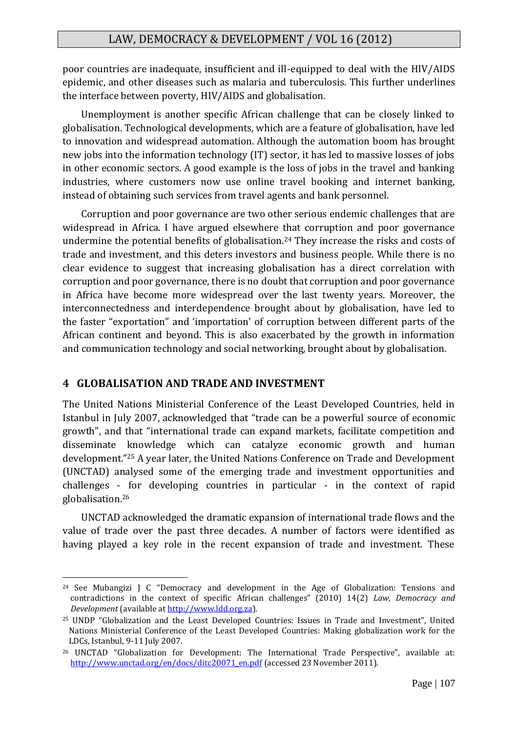poor countries are inadequate, insufficient and ill-equipped to deal with the HIV/AIDS epidemic, and other diseases such as malaria and tuberculosis. This further underlines the interface between poverty, HIV/AIDS and globalisation.

Unemployment is another specific African challenge that can be closely linked to globalisation. Technological developments, which are a feature of globalisation, have led to innovation and widespread automation. Although the automation boom has brought new jobs into the information technology (IT) sector, it has led to massive losses of jobs in other economic sectors. A good example is the loss of jobs in the travel and banking industries, where customers now use online travel booking and internet banking, instead of obtaining such services from travel agents and bank personnel.

Corruption and poor governance are two other serious endemic challenges that are widespread in Africa. I have argued elsewhere that corruption and poor governance undermine the potential benefits of globalisation.<sup>24</sup> They increase the risks and costs of trade and investment, and this deters investors and business people. While there is no clear evidence to suggest that increasing globalisation has a direct correlation with corruption and poor governance, there is no doubt that corruption and poor governance in Africa have become more widespread over the last twenty years. Moreover, the interconnectedness and interdependence brought about by globalisation, have led to the faster "exportation" and 'importation' of corruption between different parts of the African continent and beyond. This is also exacerbated by the growth in information and communication technology and social networking, brought about by globalisation.

### **4 GLOBALISATION AND TRADE AND INVESTMENT**

1

The United Nations Ministerial Conference of the Least Developed Countries, held in Istanbul in July 2007, acknowledged that "trade can be a powerful source of economic growth", and that "international trade can expand markets, facilitate competition and disseminate knowledge which can catalyze economic growth and human development."<sup>25</sup> A year later, the United Nations Conference on Trade and Development (UNCTAD) analysed some of the emerging trade and investment opportunities and challenges - for developing countries in particular - in the context of rapid globalisation.<sup>26</sup>

UNCTAD acknowledged the dramatic expansion of international trade flows and the value of trade over the past three decades. A number of factors were identified as having played a key role in the recent expansion of trade and investment. These

<sup>&</sup>lt;sup>24</sup> See Mubangizi J C "Democracy and development in the Age of Globalization: Tensions and contradictions in the context of specific African challenges" (2010) 14(2) *Law, Democracy and Development* (available a[t http://www.ldd.org.za\)](http://www.ldd.org.za/).

<sup>25</sup> UNDP "Globalization and the Least Developed Countries: Issues in Trade and Investment", United Nations Ministerial Conference of the Least Developed Countries: Making globalization work for the LDCs, Istanbul, 9-11 July 2007.

<sup>&</sup>lt;sup>26</sup> UNCTAD "Globalization for Development: The International Trade Perspective", available at: [http://www.unctad.org/en/docs/ditc20071\\_en.pdf](http://www.unctad.org/en/docs/ditc20071_en.pdf) (accessed 23 November 2011).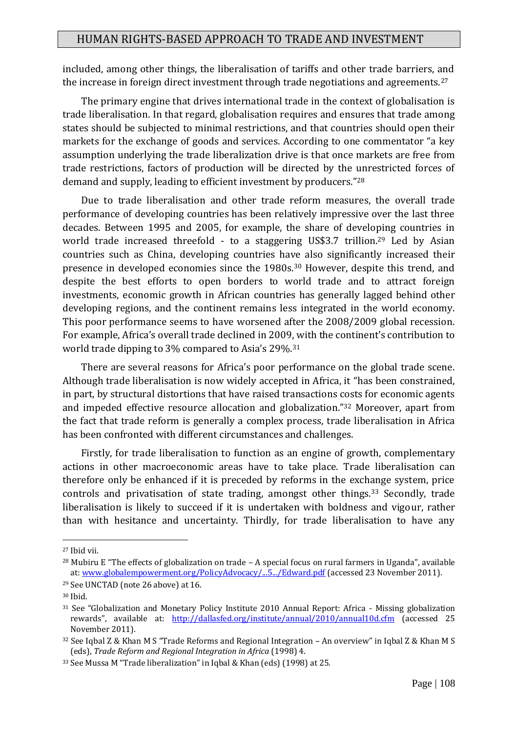included, among other things, the liberalisation of tariffs and other trade barriers, and the increase in foreign direct investment through trade negotiations and agreements.<sup>27</sup>

The primary engine that drives international trade in the context of globalisation is trade liberalisation. In that regard, globalisation requires and ensures that trade among states should be subjected to minimal restrictions, and that countries should open their markets for the exchange of goods and services. According to one commentator "a key assumption underlying the trade liberalization drive is that once markets are free from trade restrictions, factors of production will be directed by the unrestricted forces of demand and supply, leading to efficient investment by producers."<sup>28</sup>

Due to trade liberalisation and other trade reform measures, the overall trade performance of developing countries has been relatively impressive over the last three decades. Between 1995 and 2005, for example, the share of developing countries in world trade increased threefold - to a staggering US\$3.7 trillion.<sup>29</sup> Led by Asian countries such as China, developing countries have also significantly increased their presence in developed economies since the 1980s.<sup>30</sup> However, despite this trend, and despite the best efforts to open borders to world trade and to attract foreign investments, economic growth in African countries has generally lagged behind other developing regions, and the continent remains less integrated in the world economy. This poor performance seems to have worsened after the 2008/2009 global recession. For example, Africa's overall trade declined in 2009, with the continent's contribution to world trade dipping to 3% compared to Asia's 29%.<sup>31</sup>

There are several reasons for Africa's poor performance on the global trade scene. Although trade liberalisation is now widely accepted in Africa, it "has been constrained, in part, by structural distortions that have raised transactions costs for economic agents and impeded effective resource allocation and globalization."<sup>32</sup> Moreover, apart from the fact that trade reform is generally a complex process, trade liberalisation in Africa has been confronted with different circumstances and challenges.

Firstly, for trade liberalisation to function as an engine of growth, complementary actions in other macroeconomic areas have to take place. Trade liberalisation can therefore only be enhanced if it is preceded by reforms in the exchange system, price controls and privatisation of state trading, amongst other things.<sup>33</sup> Secondly, trade liberalisation is likely to succeed if it is undertaken with boldness and vigour, rather than with hesitance and uncertainty. Thirdly, for trade liberalisation to have any

<sup>27</sup> Ibid vii.

<sup>28</sup> Mubiru E "The effects of globalization on trade – A special focus on rural farmers in Uganda", available at[: www.globalempowerment.org/PolicyAdvocacy/...5.../Edward.pdf](http://www.globalempowerment.org/PolicyAdvocacy/...5.../Edward.pdf) (accessed 23 November 2011).

<sup>29</sup> See UNCTAD (note 26 above) at 16.

<sup>30</sup> Ibid.

<sup>&</sup>lt;sup>31</sup> See "Globalization and Monetary Policy Institute 2010 Annual Report: Africa - Missing globalization rewards", available at: <http://dallasfed.org/institute/annual/2010/annual10d.cfm> (accessed 25 November 2011).

<sup>32</sup> See Iqbal Z & Khan M S "Trade Reforms and Regional Integration – An overview" in Iqbal Z & Khan M S (eds), *Trade Reform and Regional Integration in Africa* (1998) 4.

<sup>33</sup> See Mussa M "Trade liberalization" in Iqbal & Khan (eds) (1998) at 25.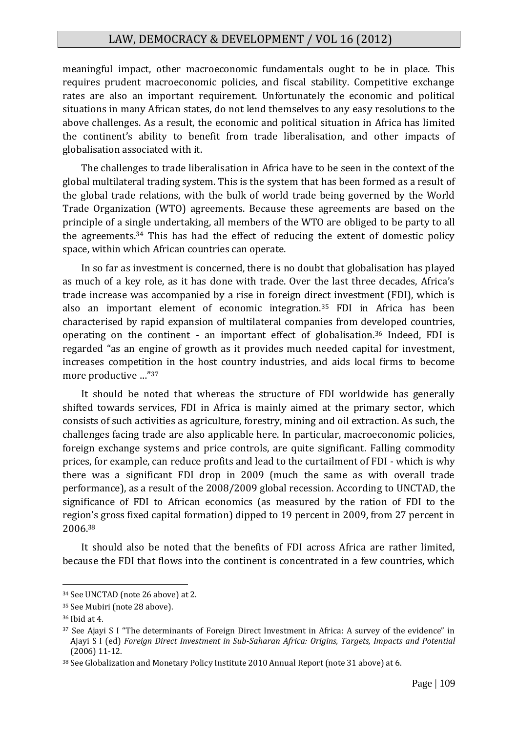meaningful impact, other macroeconomic fundamentals ought to be in place. This requires prudent macroeconomic policies, and fiscal stability. Competitive exchange rates are also an important requirement. Unfortunately the economic and political situations in many African states, do not lend themselves to any easy resolutions to the above challenges. As a result, the economic and political situation in Africa has limited the continent's ability to benefit from trade liberalisation, and other impacts of globalisation associated with it.

The challenges to trade liberalisation in Africa have to be seen in the context of the global multilateral trading system. This is the system that has been formed as a result of the global trade relations, with the bulk of world trade being governed by the World Trade Organization (WTO) agreements. Because these agreements are based on the principle of a single undertaking, all members of the WTO are obliged to be party to all the agreements.<sup>34</sup> This has had the effect of reducing the extent of domestic policy space, within which African countries can operate.

In so far as investment is concerned, there is no doubt that globalisation has played as much of a key role, as it has done with trade. Over the last three decades, Africa's trade increase was accompanied by a rise in foreign direct investment (FDI), which is also an important element of economic integration.<sup>35</sup> FDI in Africa has been characterised by rapid expansion of multilateral companies from developed countries, operating on the continent - an important effect of globalisation.<sup>36</sup> Indeed, FDI is regarded "as an engine of growth as it provides much needed capital for investment, increases competition in the host country industries, and aids local firms to become more productive …"<sup>37</sup>

It should be noted that whereas the structure of FDI worldwide has generally shifted towards services, FDI in Africa is mainly aimed at the primary sector, which consists of such activities as agriculture, forestry, mining and oil extraction. As such, the challenges facing trade are also applicable here. In particular, macroeconomic policies, foreign exchange systems and price controls, are quite significant. Falling commodity prices, for example, can reduce profits and lead to the curtailment of FDI - which is why there was a significant FDI drop in 2009 (much the same as with overall trade performance), as a result of the 2008/2009 global recession. According to UNCTAD, the significance of FDI to African economics (as measured by the ration of FDI to the region's gross fixed capital formation) dipped to 19 percent in 2009, from 27 percent in 2006.<sup>38</sup>

It should also be noted that the benefits of FDI across Africa are rather limited, because the FDI that flows into the continent is concentrated in a few countries, which

<sup>34</sup> See UNCTAD (note 26 above) at 2.

<sup>35</sup> See Mubiri (note 28 above).

<sup>36</sup> Ibid at 4.

<sup>37</sup> See Ajayi S I "The determinants of Foreign Direct Investment in Africa: A survey of the evidence" in Ajayi S I (ed) *Foreign Direct Investment in Sub-Saharan Africa: Origins, Targets, Impacts and Potential* (2006) 11-12.

<sup>38</sup> See Globalization and Monetary Policy Institute 2010 Annual Report (note 31 above) at 6.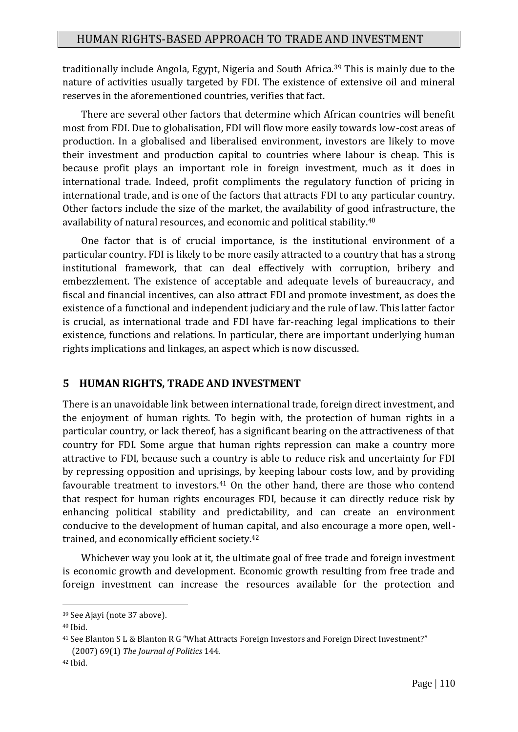traditionally include Angola, Egypt, Nigeria and South Africa.<sup>39</sup> This is mainly due to the nature of activities usually targeted by FDI. The existence of extensive oil and mineral reserves in the aforementioned countries, verifies that fact.

There are several other factors that determine which African countries will benefit most from FDI. Due to globalisation, FDI will flow more easily towards low-cost areas of production. In a globalised and liberalised environment, investors are likely to move their investment and production capital to countries where labour is cheap. This is because profit plays an important role in foreign investment, much as it does in international trade. Indeed, profit compliments the regulatory function of pricing in international trade, and is one of the factors that attracts FDI to any particular country. Other factors include the size of the market, the availability of good infrastructure, the availability of natural resources, and economic and political stability.<sup>40</sup>

One factor that is of crucial importance, is the institutional environment of a particular country. FDI is likely to be more easily attracted to a country that has a strong institutional framework, that can deal effectively with corruption, bribery and embezzlement. The existence of acceptable and adequate levels of bureaucracy, and fiscal and financial incentives, can also attract FDI and promote investment, as does the existence of a functional and independent judiciary and the rule of law. This latter factor is crucial, as international trade and FDI have far-reaching legal implications to their existence, functions and relations. In particular, there are important underlying human rights implications and linkages, an aspect which is now discussed.

## **5 HUMAN RIGHTS, TRADE AND INVESTMENT**

There is an unavoidable link between international trade, foreign direct investment, and the enjoyment of human rights. To begin with, the protection of human rights in a particular country, or lack thereof, has a significant bearing on the attractiveness of that country for FDI. Some argue that human rights repression can make a country more attractive to FDI, because such a country is able to reduce risk and uncertainty for FDI by repressing opposition and uprisings, by keeping labour costs low, and by providing favourable treatment to investors.<sup>41</sup> On the other hand, there are those who contend that respect for human rights encourages FDI, because it can directly reduce risk by enhancing political stability and predictability, and can create an environment conducive to the development of human capital, and also encourage a more open, welltrained, and economically efficient society.<sup>42</sup>

Whichever way you look at it, the ultimate goal of free trade and foreign investment is economic growth and development. Economic growth resulting from free trade and foreign investment can increase the resources available for the protection and

<sup>39</sup> See Ajayi (note 37 above).

<sup>40</sup> Ibid.

<sup>41</sup> See Blanton S L & Blanton R G "What Attracts Foreign Investors and Foreign Direct Investment?" (2007) 69(1) *The Journal of Politics* 144.

<sup>42</sup> Ibid.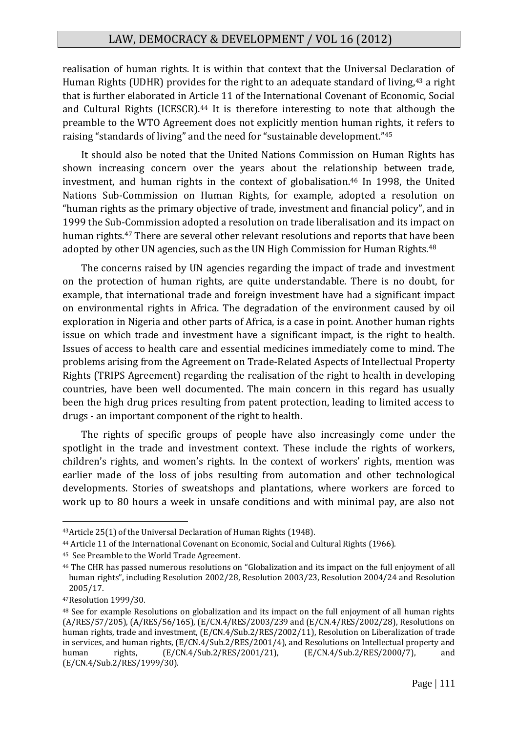realisation of human rights. It is within that context that the Universal Declaration of Human Rights (UDHR) provides for the right to an adequate standard of living,<sup>43</sup> a right that is further elaborated in Article 11 of the International Covenant of Economic, Social and Cultural Rights (ICESCR).<sup>44</sup> It is therefore interesting to note that although the preamble to the WTO Agreement does not explicitly mention human rights, it refers to raising "standards of living" and the need for "sustainable development."<sup>45</sup>

It should also be noted that the United Nations Commission on Human Rights has shown increasing concern over the years about the relationship between trade, investment, and human rights in the context of globalisation.<sup>46</sup> In 1998, the United Nations Sub-Commission on Human Rights, for example, adopted a resolution on "human rights as the primary objective of trade, investment and financial policy", and in 1999 the Sub-Commission adopted a resolution on trade liberalisation and its impact on human rights.<sup>47</sup> There are several other relevant resolutions and reports that have been adopted by other UN agencies, such as the UN High Commission for Human Rights.<sup>48</sup>

The concerns raised by UN agencies regarding the impact of trade and investment on the protection of human rights, are quite understandable. There is no doubt, for example, that international trade and foreign investment have had a significant impact on environmental rights in Africa. The degradation of the environment caused by oil exploration in Nigeria and other parts of Africa, is a case in point. Another human rights issue on which trade and investment have a significant impact, is the right to health. Issues of access to health care and essential medicines immediately come to mind. The problems arising from the Agreement on Trade-Related Aspects of Intellectual Property Rights (TRIPS Agreement) regarding the realisation of the right to health in developing countries, have been well documented. The main concern in this regard has usually been the high drug prices resulting from patent protection, leading to limited access to drugs - an important component of the right to health.

The rights of specific groups of people have also increasingly come under the spotlight in the trade and investment context. These include the rights of workers, children's rights, and women's rights. In the context of workers' rights, mention was earlier made of the loss of jobs resulting from automation and other technological developments. Stories of sweatshops and plantations, where workers are forced to work up to 80 hours a week in unsafe conditions and with minimal pay, are also not

<sup>43</sup>Article 25(1) of the Universal Declaration of Human Rights (1948).

<sup>44</sup> Article 11 of the International Covenant on Economic, Social and Cultural Rights (1966).

<sup>45</sup> See Preamble to the World Trade Agreement.

<sup>46</sup> The CHR has passed numerous resolutions on "Globalization and its impact on the full enjoyment of all human rights", including Resolution 2002/28, Resolution 2003/23, Resolution 2004/24 and Resolution 2005/17.

<sup>47</sup>Resolution 1999/30.

<sup>48</sup> See for example Resolutions on globalization and its impact on the full enjoyment of all human rights (A/RES/57/205), (A/RES/56/165), (E/CN.4/RES/2003/239 and (E/CN.4/RES/2002/28), Resolutions on human rights, trade and investment, (E/CN.4/Sub.2/RES/2002/11), Resolution on Liberalization of trade in services, and human rights, (E/CN.4/Sub.2/RES/2001/4), and Resolutions on Intellectual property and human rights, (E/CN.4/Sub.2/RES/2001/21), (E/CN.4/Sub.2/RES/2000/7), and (E/CN.4/Sub.2/RES/1999/30).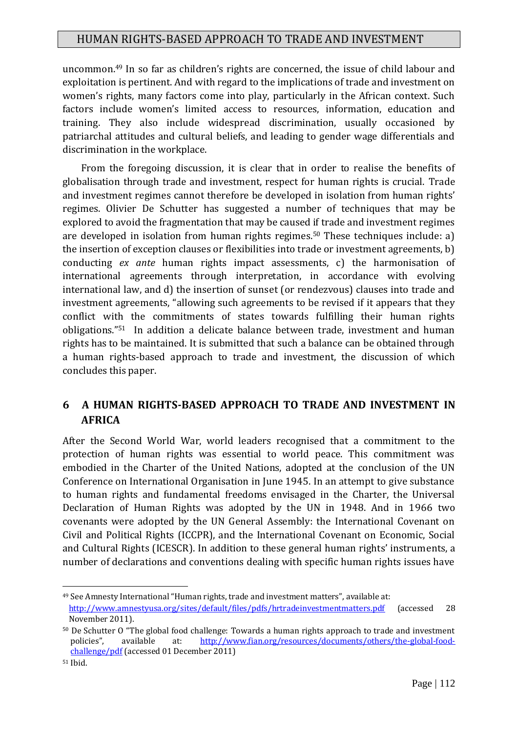uncommon.<sup>49</sup> In so far as children's rights are concerned, the issue of child labour and exploitation is pertinent. And with regard to the implications of trade and investment on women's rights, many factors come into play, particularly in the African context. Such factors include women's limited access to resources, information, education and training. They also include widespread discrimination, usually occasioned by patriarchal attitudes and cultural beliefs, and leading to gender wage differentials and discrimination in the workplace.

From the foregoing discussion, it is clear that in order to realise the benefits of globalisation through trade and investment, respect for human rights is crucial. Trade and investment regimes cannot therefore be developed in isolation from human rights' regimes. Olivier De Schutter has suggested a number of techniques that may be explored to avoid the fragmentation that may be caused if trade and investment regimes are developed in isolation from human rights regimes.<sup>50</sup> These techniques include: a) the insertion of exception clauses or flexibilities into trade or investment agreements, b) conducting *ex ante* human rights impact assessments, c) the harmonisation of international agreements through interpretation, in accordance with evolving international law, and d) the insertion of sunset (or rendezvous) clauses into trade and investment agreements, "allowing such agreements to be revised if it appears that they conflict with the commitments of states towards fulfilling their human rights obligations."<sup>51</sup> In addition a delicate balance between trade, investment and human rights has to be maintained. It is submitted that such a balance can be obtained through a human rights-based approach to trade and investment, the discussion of which concludes this paper.

# **6 A HUMAN RIGHTS-BASED APPROACH TO TRADE AND INVESTMENT IN AFRICA**

After the Second World War, world leaders recognised that a commitment to the protection of human rights was essential to world peace. This commitment was embodied in the Charter of the United Nations, adopted at the conclusion of the UN Conference on International Organisation in June 1945. In an attempt to give substance to human rights and fundamental freedoms envisaged in the Charter, the Universal Declaration of Human Rights was adopted by the UN in 1948. And in 1966 two covenants were adopted by the UN General Assembly: the International Covenant on Civil and Political Rights (ICCPR), and the International Covenant on Economic, Social and Cultural Rights (ICESCR). In addition to these general human rights' instruments, a number of declarations and conventions dealing with specific human rights issues have

<sup>49</sup> See Amnesty International "Human rights, trade and investment matters", available at: <http://www.amnestyusa.org/sites/default/files/pdfs/hrtradeinvestmentmatters.pdf> (accessed 28 November 2011).

<sup>50</sup> De Schutter O "The global food challenge: Towards a human rights approach to trade and investment policies", available at: [http://www.fian.org/resources/documents/others/the-global-food](http://www.fian.org/resources/documents/others/the-global-food-challenge/pdf)[challenge/pdf](http://www.fian.org/resources/documents/others/the-global-food-challenge/pdf) (accessed 01 December 2011)

<sup>51</sup> Ibid.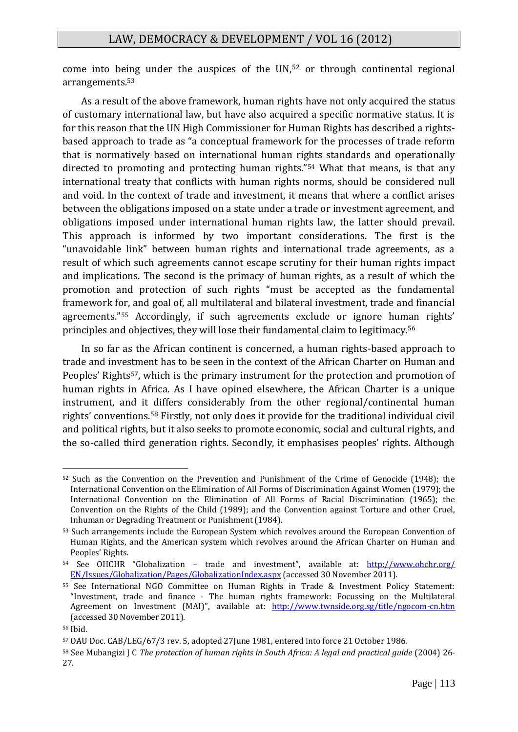come into being under the auspices of the UN,<sup>52</sup> or through continental regional arrangements.<sup>53</sup>

As a result of the above framework, human rights have not only acquired the status of customary international law, but have also acquired a specific normative status. It is for this reason that the UN High Commissioner for Human Rights has described a rightsbased approach to trade as "a conceptual framework for the processes of trade reform that is normatively based on international human rights standards and operationally directed to promoting and protecting human rights."<sup>54</sup> What that means, is that any international treaty that conflicts with human rights norms, should be considered null and void. In the context of trade and investment, it means that where a conflict arises between the obligations imposed on a state under a trade or investment agreement, and obligations imposed under international human rights law, the latter should prevail. This approach is informed by two important considerations. The first is the "unavoidable link" between human rights and international trade agreements, as a result of which such agreements cannot escape scrutiny for their human rights impact and implications. The second is the primacy of human rights, as a result of which the promotion and protection of such rights "must be accepted as the fundamental framework for, and goal of, all multilateral and bilateral investment, trade and financial agreements."<sup>55</sup> Accordingly, if such agreements exclude or ignore human rights' principles and objectives, they will lose their fundamental claim to legitimacy.<sup>56</sup>

In so far as the African continent is concerned, a human rights-based approach to trade and investment has to be seen in the context of the African Charter on Human and Peoples' Rights<sup>57</sup>, which is the primary instrument for the protection and promotion of human rights in Africa. As I have opined elsewhere, the African Charter is a unique instrument, and it differs considerably from the other regional/continental human rights' conventions.<sup>58</sup> Firstly, not only does it provide for the traditional individual civil and political rights, but it also seeks to promote economic, social and cultural rights, and the so-called third generation rights. Secondly, it emphasises peoples' rights. Although

<sup>&</sup>lt;u>.</u> <sup>52</sup> Such as the Convention on the Prevention and Punishment of the Crime of Genocide (1948); the International Convention on the Elimination of All Forms of Discrimination Against Women (1979); the International Convention on the Elimination of All Forms of Racial Discrimination (1965); the Convention on the Rights of the Child (1989); and the Convention against Torture and other Cruel, Inhuman or Degrading Treatment or Punishment (1984).

<sup>53</sup> Such arrangements include the European System which revolves around the European Convention of Human Rights, and the American system which revolves around the African Charter on Human and Peoples' Rights.

<sup>54</sup> See OHCHR "Globalization - trade and investment", available at: [http://www.ohchr.org/](http://www.ohchr.org/%20EN/Issues/Globalization/Pages/GlobalizationIndex.aspx) [EN/Issues/Globalization/Pages/GlobalizationIndex.aspx](http://www.ohchr.org/%20EN/Issues/Globalization/Pages/GlobalizationIndex.aspx) (accessed 30 November 2011).

<sup>55</sup> See International NGO Committee on Human Rights in Trade & Investment Policy Statement: "Investment, trade and finance - The human rights framework: Focussing on the Multilateral Agreement on Investment (MAI)", available at: <http://www.twnside.org.sg/title/ngocom-cn.htm> (accessed 30 November 2011).

<sup>56</sup> Ibid.

<sup>57</sup> OAU Doc. CAB/LEG/67/3 rev. 5, adopted 27June 1981, entered into force 21 October 1986.

<sup>58</sup> See Mubangizi J C *The protection of human rights in South Africa: A legal and practical guide* (2004) 26- 27.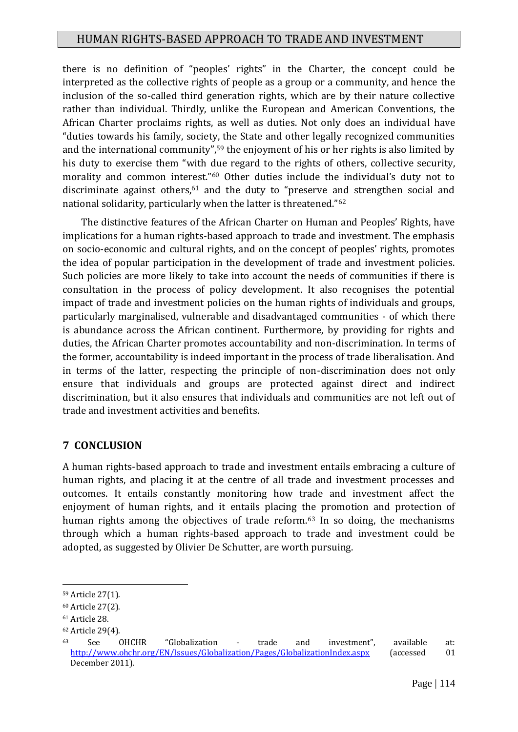there is no definition of "peoples' rights" in the Charter, the concept could be interpreted as the collective rights of people as a group or a community, and hence the inclusion of the so-called third generation rights, which are by their nature collective rather than individual. Thirdly, unlike the European and American Conventions, the African Charter proclaims rights, as well as duties. Not only does an individual have "duties towards his family, society, the State and other legally recognized communities and the international community",<sup>59</sup> the enjoyment of his or her rights is also limited by his duty to exercise them "with due regard to the rights of others, collective security, morality and common interest."<sup>60</sup> Other duties include the individual's duty not to discriminate against others, $61$  and the duty to "preserve and strengthen social and national solidarity, particularly when the latter is threatened."<sup>62</sup>

The distinctive features of the African Charter on Human and Peoples' Rights, have implications for a human rights-based approach to trade and investment. The emphasis on socio-economic and cultural rights, and on the concept of peoples' rights, promotes the idea of popular participation in the development of trade and investment policies. Such policies are more likely to take into account the needs of communities if there is consultation in the process of policy development. It also recognises the potential impact of trade and investment policies on the human rights of individuals and groups, particularly marginalised, vulnerable and disadvantaged communities - of which there is abundance across the African continent. Furthermore, by providing for rights and duties, the African Charter promotes accountability and non-discrimination. In terms of the former, accountability is indeed important in the process of trade liberalisation. And in terms of the latter, respecting the principle of non-discrimination does not only ensure that individuals and groups are protected against direct and indirect discrimination, but it also ensures that individuals and communities are not left out of trade and investment activities and benefits.

### **7 CONCLUSION**

A human rights-based approach to trade and investment entails embracing a culture of human rights, and placing it at the centre of all trade and investment processes and outcomes. It entails constantly monitoring how trade and investment affect the enjoyment of human rights, and it entails placing the promotion and protection of human rights among the objectives of trade reform.<sup>63</sup> In so doing, the mechanisms through which a human rights-based approach to trade and investment could be adopted, as suggested by Olivier De Schutter, are worth pursuing.

<sup>&</sup>lt;u>.</u> <sup>59</sup> Article 27(1).

<sup>60</sup> Article 27(2).

<sup>61</sup> Article 28.

<sup>62</sup> Article 29(4).

<sup>63</sup> See OHCHR "Globalization - trade and investment", available at: <http://www.ohchr.org/EN/Issues/Globalization/Pages/GlobalizationIndex.aspx> (accessed 01 December 2011).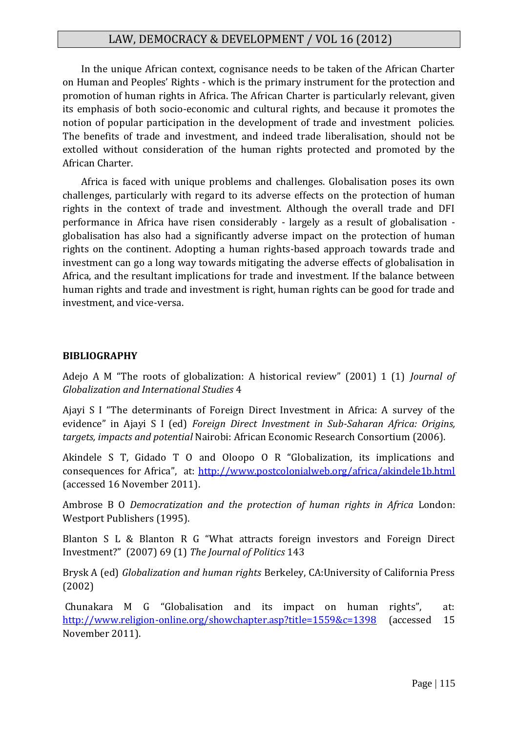In the unique African context, cognisance needs to be taken of the African Charter on Human and Peoples' Rights - which is the primary instrument for the protection and promotion of human rights in Africa. The African Charter is particularly relevant, given its emphasis of both socio-economic and cultural rights, and because it promotes the notion of popular participation in the development of trade and investment policies. The benefits of trade and investment, and indeed trade liberalisation, should not be extolled without consideration of the human rights protected and promoted by the African Charter.

Africa is faced with unique problems and challenges. Globalisation poses its own challenges, particularly with regard to its adverse effects on the protection of human rights in the context of trade and investment. Although the overall trade and DFI performance in Africa have risen considerably - largely as a result of globalisation globalisation has also had a significantly adverse impact on the protection of human rights on the continent. Adopting a human rights-based approach towards trade and investment can go a long way towards mitigating the adverse effects of globalisation in Africa, and the resultant implications for trade and investment. If the balance between human rights and trade and investment is right, human rights can be good for trade and investment, and vice-versa.

#### **BIBLIOGRAPHY**

Adejo A M "The roots of globalization: A historical review" (2001) 1 (1) *Journal of Globalization and International Studies* 4

Ajayi S I "The determinants of Foreign Direct Investment in Africa: A survey of the evidence" in Ajayi S I (ed) *Foreign Direct Investment in Sub-Saharan Africa: Origins, targets, impacts and potential* Nairobi: African Economic Research Consortium (2006).

Akindele S T, Gidado T O and Oloopo O R "Globalization, its implications and consequences for Africa", at: <http://www.postcolonialweb.org/africa/akindele1b.html> (accessed 16 November 2011).

Ambrose B O *Democratization and the protection of human rights in Africa* London: Westport Publishers (1995).

Blanton S L & Blanton R G "What attracts foreign investors and Foreign Direct Investment?" (2007) 69 (1) *The Journal of Politics* 143

Brysk A (ed) *Globalization and human rights* Berkeley, CA:University of California Press (2002)

Chunakara M G "Globalisation and its impact on human rights", at: <http://www.religion-online.org/showchapter.asp?title=1559&c=1398> (accessed 15 November 2011).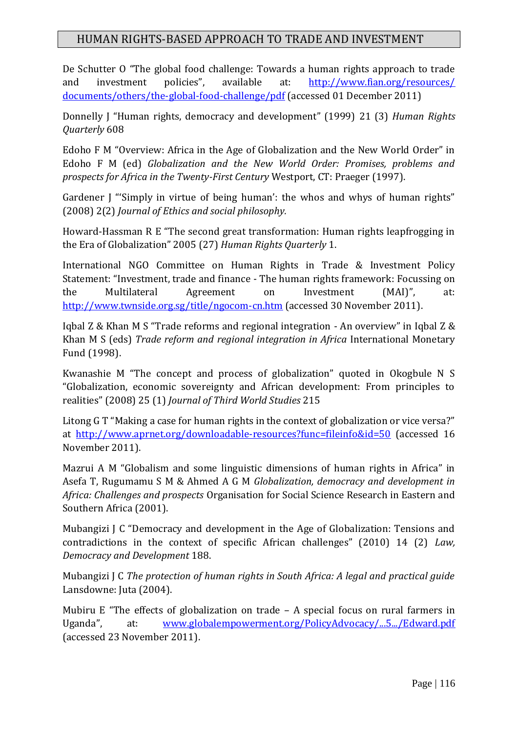De Schutter O "The global food challenge: Towards a human rights approach to trade and investment policies", available at: [http://www.fian.org/resources/](http://www.fian.org/resources/%20documents/others/the-global-food-challenge/pdf) [documents/others/the-global-food-challenge/pdf](http://www.fian.org/resources/%20documents/others/the-global-food-challenge/pdf) (accessed 01 December 2011)

Donnelly J "Human rights, democracy and development" (1999) 21 (3) *Human Rights Quarterly* 608

Edoho F M "Overview: Africa in the Age of Globalization and the New World Order" in Edoho F M (ed) *Globalization and the New World Order: Promises, problems and prospects for Africa in the Twenty-First Century* Westport, CT: Praeger (1997).

Gardener J "'Simply in virtue of being human': the whos and whys of human rights" (2008) 2(2) *Journal of Ethics and social philosophy.*

Howard-Hassman R E "The second great transformation: Human rights leapfrogging in the Era of Globalization" 2005 (27) *Human Rights Quarterly* 1.

International NGO Committee on Human Rights in Trade & Investment Policy Statement: "Investment, trade and finance - The human rights framework: Focussing on the Multilateral Agreement on Investment (MAI)", at: <http://www.twnside.org.sg/title/ngocom-cn.htm> (accessed 30 November 2011).

Iqbal Z & Khan M S "Trade reforms and regional integration - An overview" in Iqbal Z & Khan M S (eds) *Trade reform and regional integration in Africa* International Monetary Fund (1998).

Kwanashie M "The concept and process of globalization" quoted in Okogbule N S "Globalization, economic sovereignty and African development: From principles to realities" (2008) 25 (1) *Journal of Third World Studies* 215

Litong G T "Making a case for human rights in the context of globalization or vice versa?" at <http://www.aprnet.org/downloadable-resources?func=fileinfo&id=50> (accessed 16 November 2011).

Mazrui A M "Globalism and some linguistic dimensions of human rights in Africa" in Asefa T, Rugumamu S M & Ahmed A G M *Globalization, democracy and development in Africa: Challenges and prospects* Organisation for Social Science Research in Eastern and Southern Africa (2001).

Mubangizi J C "Democracy and development in the Age of Globalization: Tensions and contradictions in the context of specific African challenges" (2010) 14 (2) *Law, Democracy and Development* 188.

Mubangizi J C *The protection of human rights in South Africa: A legal and practical guide* Lansdowne: Juta (2004).

Mubiru E "The effects of globalization on trade – A special focus on rural farmers in Uganda", at: [www.globalempowerment.org/PolicyAdvocacy/...5.../Edward.pdf](http://www.globalempowerment.org/PolicyAdvocacy/...5.../Edward.pdf) (accessed 23 November 2011).